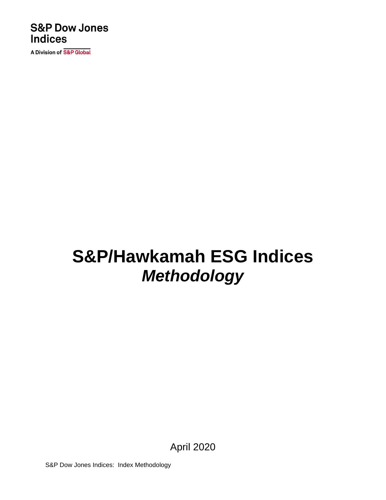### **S&P Dow Jones Indices**

A Division of S&P Global

# **S&P/Hawkamah ESG Indices** *Methodology*

April 2020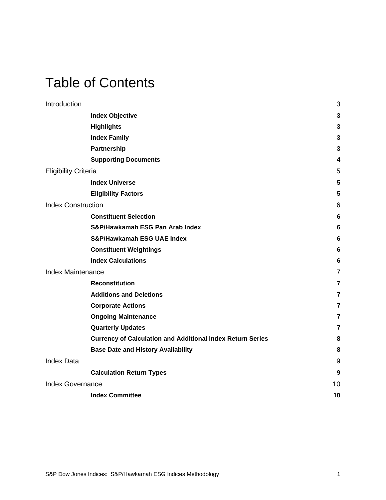### Table of Contents

| Introduction                |                                                                   | 3               |
|-----------------------------|-------------------------------------------------------------------|-----------------|
|                             | <b>Index Objective</b>                                            | 3               |
|                             | <b>Highlights</b>                                                 | $\mathbf{3}$    |
|                             | <b>Index Family</b>                                               | 3               |
|                             | Partnership                                                       | 3               |
|                             | <b>Supporting Documents</b>                                       | 4               |
| <b>Eligibility Criteria</b> |                                                                   | 5               |
|                             | <b>Index Universe</b>                                             | 5               |
|                             | <b>Eligibility Factors</b>                                        | 5               |
| <b>Index Construction</b>   |                                                                   | 6               |
|                             | <b>Constituent Selection</b>                                      | 6               |
|                             | S&P/Hawkamah ESG Pan Arab Index                                   | $6\phantom{1}6$ |
|                             | <b>S&amp;P/Hawkamah ESG UAE Index</b>                             | 6               |
|                             | <b>Constituent Weightings</b>                                     | 6               |
|                             | <b>Index Calculations</b>                                         | $6\phantom{1}6$ |
| <b>Index Maintenance</b>    |                                                                   | $\overline{7}$  |
|                             | <b>Reconstitution</b>                                             | $\overline{7}$  |
|                             | <b>Additions and Deletions</b>                                    | 7               |
|                             | <b>Corporate Actions</b>                                          | $\overline{7}$  |
|                             | <b>Ongoing Maintenance</b>                                        | $\overline{7}$  |
|                             | <b>Quarterly Updates</b>                                          | 7               |
|                             | <b>Currency of Calculation and Additional Index Return Series</b> | 8               |
|                             | <b>Base Date and History Availability</b>                         | 8               |
| <b>Index Data</b>           |                                                                   | 9               |
|                             | <b>Calculation Return Types</b>                                   | 9               |
| <b>Index Governance</b>     |                                                                   | 10              |
|                             | <b>Index Committee</b>                                            | 10              |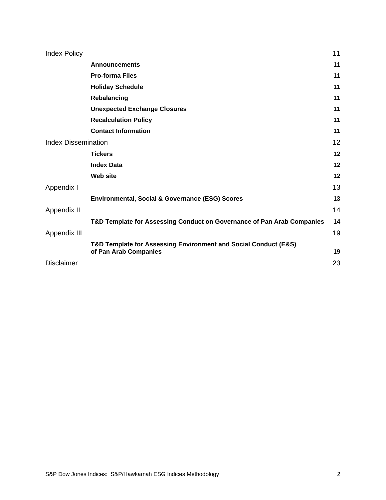| <b>Index Policy</b>        |                                                                        | 11 |
|----------------------------|------------------------------------------------------------------------|----|
|                            | <b>Announcements</b>                                                   | 11 |
|                            | <b>Pro-forma Files</b>                                                 | 11 |
|                            | <b>Holiday Schedule</b>                                                | 11 |
|                            | Rebalancing                                                            | 11 |
|                            | <b>Unexpected Exchange Closures</b>                                    | 11 |
|                            | <b>Recalculation Policy</b>                                            | 11 |
|                            | <b>Contact Information</b>                                             | 11 |
| <b>Index Dissemination</b> |                                                                        | 12 |
|                            | <b>Tickers</b>                                                         | 12 |
|                            | <b>Index Data</b>                                                      | 12 |
|                            | <b>Web site</b>                                                        | 12 |
| Appendix I                 |                                                                        | 13 |
|                            | <b>Environmental, Social &amp; Governance (ESG) Scores</b>             | 13 |
| Appendix II                |                                                                        | 14 |
|                            | T&D Template for Assessing Conduct on Governance of Pan Arab Companies | 14 |
| Appendix III               |                                                                        | 19 |
|                            | T&D Template for Assessing Environment and Social Conduct (E&S)        |    |
|                            | of Pan Arab Companies                                                  | 19 |
| <b>Disclaimer</b>          |                                                                        | 23 |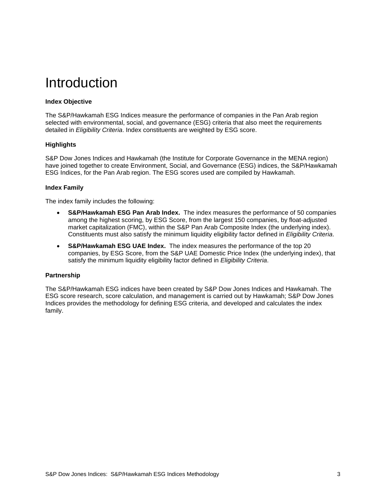### <span id="page-3-0"></span>Introduction

#### <span id="page-3-1"></span>**Index Objective**

The S&P/Hawkamah ESG Indices measure the performance of companies in the Pan Arab region selected with environmental, social, and governance (ESG) criteria that also meet the requirements detailed in *Eligibility Criteria*. Index constituents are weighted by ESG score.

#### <span id="page-3-2"></span>**Highlights**

S&P Dow Jones Indices and Hawkamah (the Institute for Corporate Governance in the MENA region) have joined together to create Environment, Social, and Governance (ESG) indices, the S&P/Hawkamah ESG Indices, for the Pan Arab region. The ESG scores used are compiled by Hawkamah.

#### <span id="page-3-3"></span>**Index Family**

The index family includes the following:

- **S&P/Hawkamah ESG Pan Arab Index.** The index measures the performance of 50 companies among the highest scoring, by ESG Score, from the largest 150 companies, by float-adjusted market capitalization (FMC), within the S&P Pan Arab Composite Index (the underlying index). Constituents must also satisfy the minimum liquidity eligibility factor defined in *Eligibility Criteria*.
- **S&P/Hawkamah ESG UAE Index.** The index measures the performance of the top 20 companies, by ESG Score, from the S&P UAE Domestic Price Index (the underlying index), that satisfy the minimum liquidity eligibility factor defined in *Eligibility Criteria*.

#### <span id="page-3-4"></span>**Partnership**

The S&P/Hawkamah ESG indices have been created by S&P Dow Jones Indices and Hawkamah. The ESG score research, score calculation, and management is carried out by Hawkamah; S&P Dow Jones Indices provides the methodology for defining ESG criteria, and developed and calculates the index family.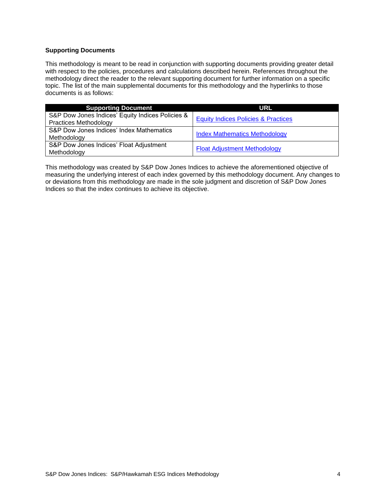#### <span id="page-4-0"></span>**Supporting Documents**

This methodology is meant to be read in conjunction with supporting documents providing greater detail with respect to the policies, procedures and calculations described herein. References throughout the methodology direct the reader to the relevant supporting document for further information on a specific topic. The list of the main supplemental documents for this methodology and the hyperlinks to those documents is as follows:

| <b>Supporting Document</b>                                                       | <b>URL</b>                                     |
|----------------------------------------------------------------------------------|------------------------------------------------|
| S&P Dow Jones Indices' Equity Indices Policies &<br><b>Practices Methodology</b> | <b>Equity Indices Policies &amp; Practices</b> |
| S&P Dow Jones Indices' Index Mathematics<br>Methodology                          | <b>Index Mathematics Methodology</b>           |
| S&P Dow Jones Indices' Float Adjustment<br>Methodology                           | <b>Float Adjustment Methodology</b>            |

This methodology was created by S&P Dow Jones Indices to achieve the aforementioned objective of measuring the underlying interest of each index governed by this methodology document. Any changes to or deviations from this methodology are made in the sole judgment and discretion of S&P Dow Jones Indices so that the index continues to achieve its objective.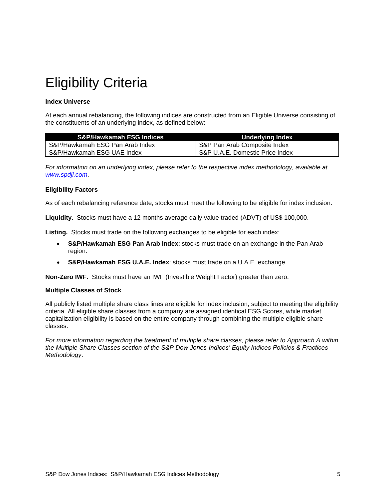### <span id="page-5-0"></span>Eligibility Criteria

#### <span id="page-5-1"></span>**Index Universe**

At each annual rebalancing, the following indices are constructed from an Eligible Universe consisting of the constituents of an underlying index, as defined below:

| <b>S&amp;P/Hawkamah ESG Indices</b> | Underlying Index                |
|-------------------------------------|---------------------------------|
| S&P/Hawkamah ESG Pan Arab Index     | S&P Pan Arab Composite Index    |
| S&P/Hawkamah ESG UAE Index          | S&P U.A.E. Domestic Price Index |

*For information on an underlying index, please refer to the respective index methodology, available at [www.spdji.com](http://www.spdji.com/)*.

#### <span id="page-5-2"></span>**Eligibility Factors**

As of each rebalancing reference date, stocks must meet the following to be eligible for index inclusion.

**Liquidity.** Stocks must have a 12 months average daily value traded (ADVT) of US\$ 100,000.

**Listing.** Stocks must trade on the following exchanges to be eligible for each index:

- **S&P/Hawkamah ESG Pan Arab Index**: stocks must trade on an exchange in the Pan Arab region.
- **S&P/Hawkamah ESG U.A.E. Index**: stocks must trade on a U.A.E. exchange.

**Non-Zero IWF.** Stocks must have an IWF (Investible Weight Factor) greater than zero.

#### **Multiple Classes of Stock**

All publicly listed multiple share class lines are eligible for index inclusion, subject to meeting the eligibility criteria. All eligible share classes from a company are assigned identical ESG Scores, while market capitalization eligibility is based on the entire company through combining the multiple eligible share classes.

*For more information regarding the treatment of multiple share classes, please refer to Approach A within the Multiple Share Classes section of the S&P Dow Jones Indices' Equity Indices Policies & Practices Methodology*.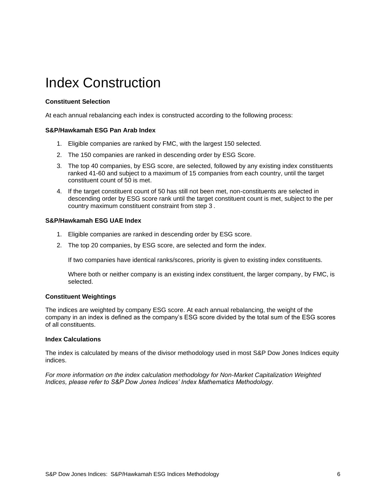### <span id="page-6-0"></span>Index Construction

#### <span id="page-6-1"></span>**Constituent Selection**

<span id="page-6-2"></span>At each annual rebalancing each index is constructed according to the following process:

#### **S&P/Hawkamah ESG Pan Arab Index**

- 1. Eligible companies are ranked by FMC, with the largest 150 selected.
- 2. The 150 companies are ranked in descending order by ESG Score.
- 3. The top 40 companies, by ESG score, are selected, followed by any existing index constituents ranked 41-60 and subject to a maximum of 15 companies from each country, until the target constituent count of 50 is met.
- 4. If the target constituent count of 50 has still not been met, non-constituents are selected in descending order by ESG score rank until the target constituent count is met, subject to the per country maximum constituent constraint from step 3 .

#### <span id="page-6-3"></span>**S&P/Hawkamah ESG UAE Index**

- 1. Eligible companies are ranked in descending order by ESG score.
- 2. The top 20 companies, by ESG score, are selected and form the index.

If two companies have identical ranks/scores, priority is given to existing index constituents.

Where both or neither company is an existing index constituent, the larger company, by FMC, is selected.

#### <span id="page-6-4"></span>**Constituent Weightings**

The indices are weighted by company ESG score. At each annual rebalancing, the weight of the company in an index is defined as the company's ESG score divided by the total sum of the ESG scores of all constituents.

#### <span id="page-6-5"></span>**Index Calculations**

The index is calculated by means of the divisor methodology used in most S&P Dow Jones Indices equity indices.

*For more information on the index calculation methodology for Non-Market Capitalization Weighted Indices, please refer to S&P Dow Jones Indices' Index Mathematics Methodology.*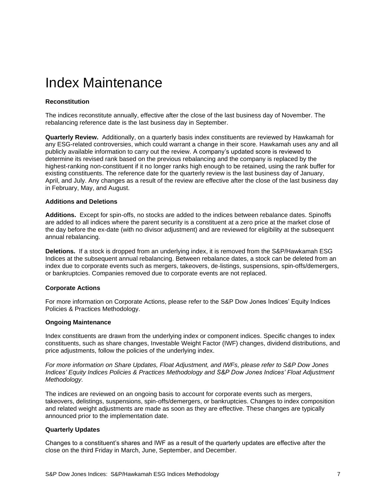### <span id="page-7-0"></span>Index Maintenance

#### <span id="page-7-1"></span>**Reconstitution**

The indices reconstitute annually, effective after the close of the last business day of November. The rebalancing reference date is the last business day in September.

**Quarterly Review.** Additionally, on a quarterly basis index constituents are reviewed by Hawkamah for any ESG-related controversies, which could warrant a change in their score. Hawkamah uses any and all publicly available information to carry out the review. A company's updated score is reviewed to determine its revised rank based on the previous rebalancing and the company is replaced by the highest-ranking non-constituent if it no longer ranks high enough to be retained, using the rank buffer for existing constituents. The reference date for the quarterly review is the last business day of January, April, and July. Any changes as a result of the review are effective after the close of the last business day in February, May, and August.

#### <span id="page-7-2"></span>**Additions and Deletions**

**Additions.** Except for spin-offs, no stocks are added to the indices between rebalance dates. Spinoffs are added to all indices where the parent security is a constituent at a zero price at the market close of the day before the ex-date (with no divisor adjustment) and are reviewed for eligibility at the subsequent annual rebalancing.

**Deletions.** If a stock is dropped from an underlying index, it is removed from the S&P/Hawkamah ESG Indices at the subsequent annual rebalancing. Between rebalance dates, a stock can be deleted from an index due to corporate events such as mergers, takeovers, de-listings, suspensions, spin-offs/demergers, or bankruptcies. Companies removed due to corporate events are not replaced.

#### <span id="page-7-3"></span>**Corporate Actions**

For more information on Corporate Actions, please refer to the S&P Dow Jones Indices' Equity Indices Policies & Practices Methodology.

#### <span id="page-7-4"></span>**Ongoing Maintenance**

Index constituents are drawn from the underlying index or component indices. Specific changes to index constituents, such as share changes, Investable Weight Factor (IWF) changes, dividend distributions, and price adjustments, follow the policies of the underlying index.

*For more information on Share Updates, Float Adjustment, and IWFs, please refer to S&P Dow Jones Indices' Equity Indices Policies & Practices Methodology and S&P Dow Jones Indices' Float Adjustment Methodology.*

The indices are reviewed on an ongoing basis to account for corporate events such as mergers, takeovers, delistings, suspensions, spin-offs/demergers, or bankruptcies. Changes to index composition and related weight adjustments are made as soon as they are effective. These changes are typically announced prior to the implementation date.

#### <span id="page-7-5"></span>**Quarterly Updates**

Changes to a constituent's shares and IWF as a result of the quarterly updates are effective after the close on the third Friday in March, June, September, and December.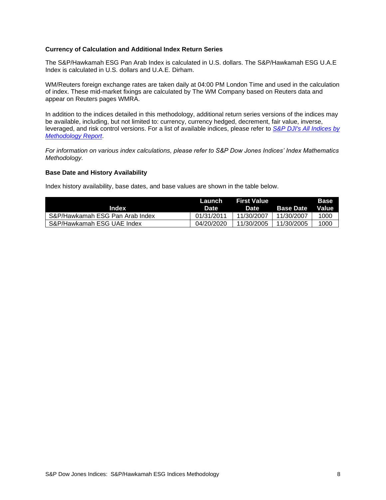#### <span id="page-8-0"></span>**Currency of Calculation and Additional Index Return Series**

The S&P/Hawkamah ESG Pan Arab Index is calculated in U.S. dollars. The S&P/Hawkamah ESG U.A.E Index is calculated in U.S. dollars and U.A.E. Dirham.

WM/Reuters foreign exchange rates are taken daily at 04:00 PM London Time and used in the calculation of index. These mid-market fixings are calculated by The WM Company based on Reuters data and appear on Reuters pages WMRA.

In addition to the indices detailed in this methodology, additional return series versions of the indices may be available, including, but not limited to: currency, currency hedged, decrement, fair value, inverse, leveraged, and risk control versions. For a list of available indices, please refer to *[S&P DJI's All Indices by](https://us.spindices.com/web-data-downloads/regulatory/spdji-all-indices-methodology-report.xlsx?force_download=true)  [Methodology Report](https://us.spindices.com/web-data-downloads/regulatory/spdji-all-indices-methodology-report.xlsx?force_download=true)*.

*For information on various index calculations, please refer to S&P Dow Jones Indices' Index Mathematics Methodology.*

#### <span id="page-8-1"></span>**Base Date and History Availability**

Index history availability, base dates, and base values are shown in the table below.

| Index                           | Launch<br>Date | First Value<br>Date | <b>Base Date</b> | <b>Base</b><br><b>Value</b> |
|---------------------------------|----------------|---------------------|------------------|-----------------------------|
| S&P/Hawkamah ESG Pan Arab Index | 01/31/2011     | 11/30/2007          | 11/30/2007       | 1000                        |
| S&P/Hawkamah ESG UAE Index      | 04/20/2020     | 11/30/2005          | 11/30/2005       | 1000                        |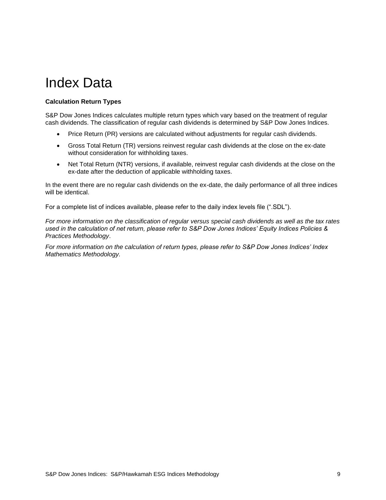### <span id="page-9-0"></span>Index Data

#### <span id="page-9-1"></span>**Calculation Return Types**

S&P Dow Jones Indices calculates multiple return types which vary based on the treatment of regular cash dividends. The classification of regular cash dividends is determined by S&P Dow Jones Indices.

- Price Return (PR) versions are calculated without adjustments for regular cash dividends.
- Gross Total Return (TR) versions reinvest regular cash dividends at the close on the ex-date without consideration for withholding taxes.
- Net Total Return (NTR) versions, if available, reinvest regular cash dividends at the close on the ex-date after the deduction of applicable withholding taxes.

In the event there are no regular cash dividends on the ex-date, the daily performance of all three indices will be identical.

For a complete list of indices available, please refer to the daily index levels file (".SDL").

*For more information on the classification of regular versus special cash dividends as well as the tax rates used in the calculation of net return, please refer to S&P Dow Jones Indices' Equity Indices Policies & Practices Methodology*.

*For more information on the calculation of return types, please refer to S&P Dow Jones Indices' Index Mathematics Methodology.*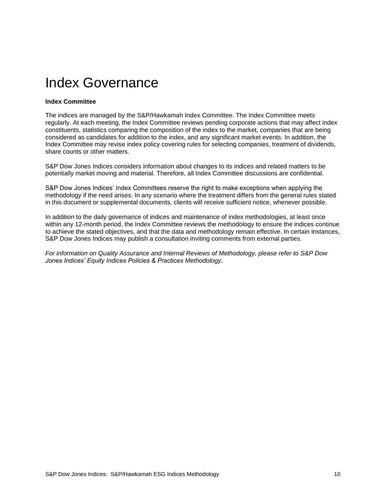### <span id="page-10-0"></span>Index Governance

#### <span id="page-10-1"></span>**Index Committee**

The indices are managed by the S&P/Hawkamah Index Committee. The Index Committee meets regularly. At each meeting, the Index Committee reviews pending corporate actions that may affect index constituents, statistics comparing the composition of the index to the market, companies that are being considered as candidates for addition to the index, and any significant market events. In addition, the Index Committee may revise index policy covering rules for selecting companies, treatment of dividends, share counts or other matters.

S&P Dow Jones Indices considers information about changes to its indices and related matters to be potentially market moving and material. Therefore, all Index Committee discussions are confidential.

S&P Dow Jones Indices' Index Committees reserve the right to make exceptions when applying the methodology if the need arises. In any scenario where the treatment differs from the general rules stated in this document or supplemental documents, clients will receive sufficient notice, whenever possible.

In addition to the daily governance of indices and maintenance of index methodologies, at least once within any 12-month period, the Index Committee reviews the methodology to ensure the indices continue to achieve the stated objectives, and that the data and methodology remain effective. In certain instances, S&P Dow Jones Indices may publish a consultation inviting comments from external parties.

*For information on Quality Assurance and Internal Reviews of Methodology, please refer to S&P Dow Jones Indices' Equity Indices Policies & Practices Methodology*.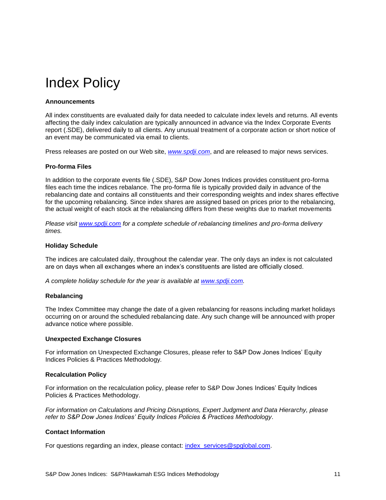### <span id="page-11-0"></span>Index Policy

#### <span id="page-11-1"></span>**Announcements**

All index constituents are evaluated daily for data needed to calculate index levels and returns. All events affecting the daily index calculation are typically announced in advance via the Index Corporate Events report (.SDE), delivered daily to all clients. Any unusual treatment of a corporate action or short notice of an event may be communicated via email to clients.

<span id="page-11-2"></span>Press releases are posted on our Web site, *[www.spdji.com](http://www.spdji.com/)*, and are released to major news services.

#### **Pro-forma Files**

In addition to the corporate events file (.SDE), S&P Dow Jones Indices provides constituent pro-forma files each time the indices rebalance. The pro-forma file is typically provided daily in advance of the rebalancing date and contains all constituents and their corresponding weights and index shares effective for the upcoming rebalancing. Since index shares are assigned based on prices prior to the rebalancing, the actual weight of each stock at the rebalancing differs from these weights due to market movements

*Please visit [www.spdji.com](http://www.spdji.com/) for a complete schedule of rebalancing timelines and pro-forma delivery times.*

#### <span id="page-11-3"></span>**Holiday Schedule**

The indices are calculated daily, throughout the calendar year. The only days an index is not calculated are on days when all exchanges where an index's constituents are listed are officially closed.

<span id="page-11-4"></span>*A complete holiday schedule for the year is available at [www.spdji.com.](http://www.spdji.com/)* 

#### **Rebalancing**

The Index Committee may change the date of a given rebalancing for reasons including market holidays occurring on or around the scheduled rebalancing date. Any such change will be announced with proper advance notice where possible.

#### <span id="page-11-5"></span>**Unexpected Exchange Closures**

For information on Unexpected Exchange Closures, please refer to S&P Dow Jones Indices' Equity Indices Policies & Practices Methodology*.*

#### <span id="page-11-6"></span>**Recalculation Policy**

For information on the recalculation policy, please refer to S&P Dow Jones Indices' Equity Indices Policies & Practices Methodology.

*For information on Calculations and Pricing Disruptions, Expert Judgment and Data Hierarchy, please refer to S&P Dow Jones Indices' Equity Indices Policies & Practices Methodology*.

#### <span id="page-11-7"></span>**Contact Information**

For questions regarding an index, please contact: [index\\_services@spglobal.com.](mailto:index_services@spglobal.com)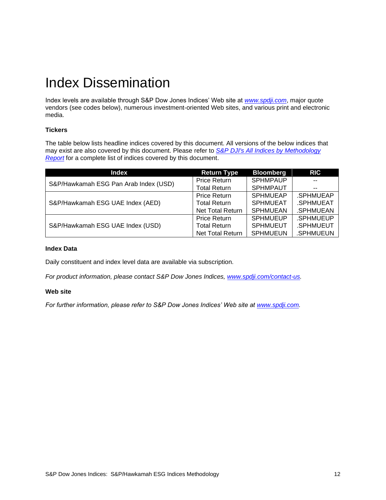### <span id="page-12-0"></span>Index Dissemination

Index levels are available through S&P Dow Jones Indices' Web site at *[www.spdji.com](http://www.spdji.com/)*, major quote vendors (see codes below), numerous investment-oriented Web sites, and various print and electronic media.

#### <span id="page-12-1"></span>**Tickers**

The table below lists headline indices covered by this document. All versions of the below indices that may exist are also covered by this document. Please refer to *[S&P DJI's All Indices by Methodology](https://us.spindices.com/web-data-downloads/regulatory/spdji-all-indices-methodology-report.xlsx?force_download=true)  [Report](https://us.spindices.com/web-data-downloads/regulatory/spdji-all-indices-methodology-report.xlsx?force_download=true)* for a complete list of indices covered by this document.

| <b>Index</b>                          | <b>Return Type</b>      | <b>Bloomberg</b> | <b>RIC</b> |
|---------------------------------------|-------------------------|------------------|------------|
| S&P/Hawkamah ESG Pan Arab Index (USD) | <b>Price Return</b>     | <b>SPHMPAUP</b>  |            |
|                                       | <b>Total Return</b>     | <b>SPHMPAUT</b>  | $- -$      |
|                                       | <b>Price Return</b>     | <b>SPHMUEAP</b>  | .SPHMUEAP  |
| S&P/Hawkamah ESG UAE Index (AED)      | <b>Total Return</b>     | <b>SPHMUEAT</b>  | .SPHMUEAT  |
|                                       | <b>Net Total Return</b> | <b>SPHMUEAN</b>  | .SPHMUEAN  |
|                                       | <b>Price Return</b>     | <b>SPHMUEUP</b>  | .SPHMUEUP  |
| S&P/Hawkamah ESG UAE Index (USD)      | <b>Total Return</b>     | <b>SPHMUEUT</b>  | .SPHMUEUT  |
|                                       | <b>Net Total Return</b> | <b>SPHMUEUN</b>  | .SPHMUEUN  |

#### <span id="page-12-2"></span>**Index Data**

Daily constituent and index level data are available via subscription.

<span id="page-12-3"></span>*For product information, please contact S&P Dow Jones Indices, [www.spdji.com/contact-us.](http://www.spdji.com/contact-us)* 

#### **Web site**

*For further information, please refer to S&P Dow Jones Indices' Web site at [www.spdji.com.](http://www.spdji.com/)*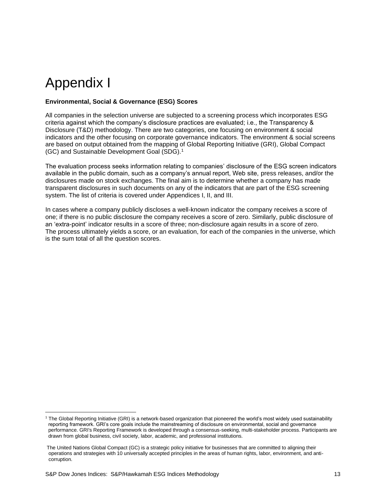### <span id="page-13-0"></span>Appendix I

#### <span id="page-13-1"></span>**Environmental, Social & Governance (ESG) Scores**

All companies in the selection universe are subjected to a screening process which incorporates ESG criteria against which the company's disclosure practices are evaluated; i.e., the Transparency & Disclosure (T&D) methodology. There are two categories, one focusing on environment & social indicators and the other focusing on corporate governance indicators. The environment & social screens are based on output obtained from the mapping of Global Reporting Initiative (GRI), Global Compact (GC) and Sustainable Development Goal (SDG).<sup>1</sup>

The evaluation process seeks information relating to companies' disclosure of the ESG screen indicators available in the public domain, such as a company's annual report, Web site, press releases, and/or the disclosures made on stock exchanges. The final aim is to determine whether a company has made transparent disclosures in such documents on any of the indicators that are part of the ESG screening system. The list of criteria is covered under Appendices I, II, and III.

In cases where a company publicly discloses a well-known indicator the company receives a score of one; if there is no public disclosure the company receives a score of zero. Similarly, public disclosure of an 'extra-point' indicator results in a score of three; non-disclosure again results in a score of zero. The process ultimately yields a score, or an evaluation, for each of the companies in the universe, which is the sum total of all the question scores.

<sup>&</sup>lt;sup>1</sup> The Global Reporting Initiative (GRI) is a network-based organization that pioneered the world's most widely used sustainability reporting framework. GRI's core goals include the mainstreaming of disclosure on environmental, social and governance performance. GRI's Reporting Framework is developed through a consensus-seeking, multi-stakeholder process. Participants are drawn from global business, civil society, labor, academic, and professional institutions.

The United Nations Global Compact (GC) is a strategic policy initiative for businesses that are committed to aligning their operations and strategies with 10 universally accepted principles in the areas of human rights, labor, environment, and anticorruption.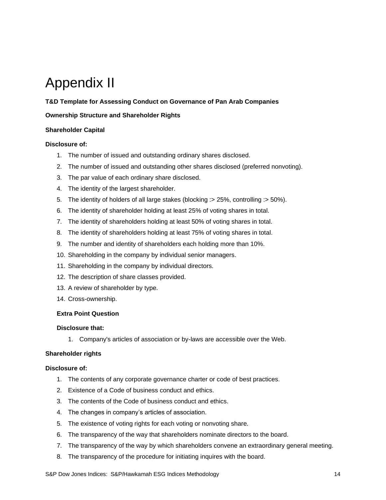## <span id="page-14-0"></span>Appendix II

#### <span id="page-14-1"></span>**T&D Template for Assessing Conduct on Governance of Pan Arab Companies**

#### **Ownership Structure and Shareholder Rights**

#### **Shareholder Capital**

#### **Disclosure of:**

- 1. The number of issued and outstanding ordinary shares disclosed.
- 2. The number of issued and outstanding other shares disclosed (preferred nonvoting).
- 3. The par value of each ordinary share disclosed.
- 4. The identity of the largest shareholder.
- 5. The identity of holders of all large stakes (blocking :> 25%, controlling :> 50%).
- 6. The identity of shareholder holding at least 25% of voting shares in total.
- 7. The identity of shareholders holding at least 50% of voting shares in total.
- 8. The identity of shareholders holding at least 75% of voting shares in total.
- 9. The number and identity of shareholders each holding more than 10%.
- 10. Shareholding in the company by individual senior managers.
- 11. Shareholding in the company by individual directors.
- 12. The description of share classes provided.
- 13. A review of shareholder by type.
- 14. Cross-ownership.

#### **Extra Point Question**

#### **Disclosure that:**

1. Company's articles of association or by-laws are accessible over the Web.

#### **Shareholder rights**

- 1. The contents of any corporate governance charter or code of best practices.
- 2. Existence of a Code of business conduct and ethics.
- 3. The contents of the Code of business conduct and ethics.
- 4. The changes in company's articles of association.
- 5. The existence of voting rights for each voting or nonvoting share.
- 6. The transparency of the way that shareholders nominate directors to the board.
- 7. The transparency of the way by which shareholders convene an extraordinary general meeting.
- 8. The transparency of the procedure for initiating inquires with the board.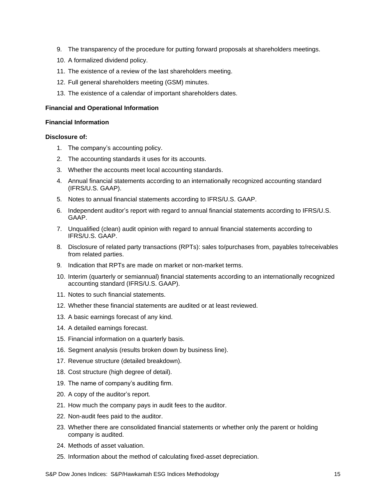- 9. The transparency of the procedure for putting forward proposals at shareholders meetings.
- 10. A formalized dividend policy.
- 11. The existence of a review of the last shareholders meeting.
- 12. Full general shareholders meeting (GSM) minutes.
- 13. The existence of a calendar of important shareholders dates.

#### **Financial and Operational Information**

#### **Financial Information**

- 1. The company's accounting policy.
- 2. The accounting standards it uses for its accounts.
- 3. Whether the accounts meet local accounting standards.
- 4. Annual financial statements according to an internationally recognized accounting standard (IFRS/U.S. GAAP).
- 5. Notes to annual financial statements according to IFRS/U.S. GAAP.
- 6. Independent auditor's report with regard to annual financial statements according to IFRS/U.S. GAAP.
- 7. Unqualified (clean) audit opinion with regard to annual financial statements according to IFRS/U.S. GAAP.
- 8. Disclosure of related party transactions (RPTs): sales to/purchases from, payables to/receivables from related parties.
- 9. Indication that RPTs are made on market or non-market terms.
- 10. Interim (quarterly or semiannual) financial statements according to an internationally recognized accounting standard (IFRS/U.S. GAAP).
- 11. Notes to such financial statements.
- 12. Whether these financial statements are audited or at least reviewed.
- 13. A basic earnings forecast of any kind.
- 14. A detailed earnings forecast.
- 15. Financial information on a quarterly basis.
- 16. Segment analysis (results broken down by business line).
- 17. Revenue structure (detailed breakdown).
- 18. Cost structure (high degree of detail).
- 19. The name of company's auditing firm.
- 20. A copy of the auditor's report.
- 21. How much the company pays in audit fees to the auditor.
- 22. Non-audit fees paid to the auditor.
- 23. Whether there are consolidated financial statements or whether only the parent or holding company is audited.
- 24. Methods of asset valuation.
- 25. Information about the method of calculating fixed-asset depreciation.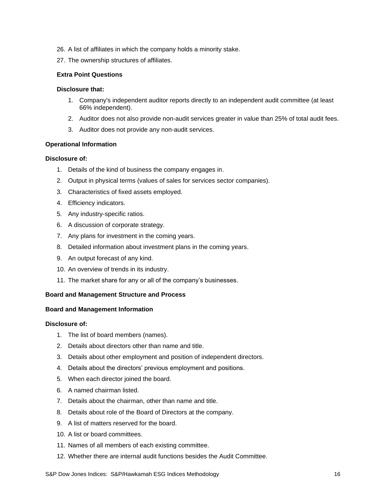- 26. A list of affiliates in which the company holds a minority stake.
- 27. The ownership structures of affiliates.

#### **Extra Point Questions**

#### **Disclosure that:**

- 1. Company's independent auditor reports directly to an independent audit committee (at least 66% independent).
- 2. Auditor does not also provide non-audit services greater in value than 25% of total audit fees.
- 3. Auditor does not provide any non-audit services.

#### **Operational Information**

#### **Disclosure of:**

- 1. Details of the kind of business the company engages in.
- 2. Output in physical terms (values of sales for services sector companies).
- 3. Characteristics of fixed assets employed.
- 4. Efficiency indicators.
- 5. Any industry-specific ratios.
- 6. A discussion of corporate strategy.
- 7. Any plans for investment in the coming years.
- 8. Detailed information about investment plans in the coming years.
- 9. An output forecast of any kind.
- 10. An overview of trends in its industry.
- 11. The market share for any or all of the company's businesses.

#### **Board and Management Structure and Process**

#### **Board and Management Information**

- 1. The list of board members (names).
- 2. Details about directors other than name and title.
- 3. Details about other employment and position of independent directors.
- 4. Details about the directors' previous employment and positions.
- 5. When each director joined the board.
- 6. A named chairman listed.
- 7. Details about the chairman, other than name and title.
- 8. Details about role of the Board of Directors at the company.
- 9. A list of matters reserved for the board.
- 10. A list or board committees.
- 11. Names of all members of each existing committee.
- 12. Whether there are internal audit functions besides the Audit Committee.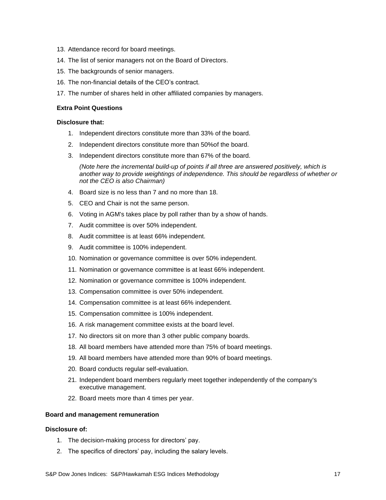- 13. Attendance record for board meetings.
- 14. The list of senior managers not on the Board of Directors.
- 15. The backgrounds of senior managers.
- 16. The non-financial details of the CEO's contract.
- 17. The number of shares held in other affiliated companies by managers.

#### **Extra Point Questions**

#### **Disclosure that:**

- 1. Independent directors constitute more than 33% of the board.
- 2. Independent directors constitute more than 50%of the board.
- 3. Independent directors constitute more than 67% of the board.

*(Note here the incremental build-up of points if all three are answered positively, which is another way to provide weightings of independence. This should be regardless of whether or not the CEO is also Chairman)*

- 4. Board size is no less than 7 and no more than 18.
- 5. CEO and Chair is not the same person.
- 6. Voting in AGM's takes place by poll rather than by a show of hands.
- 7. Audit committee is over 50% independent.
- 8. Audit committee is at least 66% independent.
- 9. Audit committee is 100% independent.
- 10. Nomination or governance committee is over 50% independent.
- 11. Nomination or governance committee is at least 66% independent.
- 12. Nomination or governance committee is 100% independent.
- 13. Compensation committee is over 50% independent.
- 14. Compensation committee is at least 66% independent.
- 15. Compensation committee is 100% independent.
- 16. A risk management committee exists at the board level.
- 17. No directors sit on more than 3 other public company boards.
- 18. All board members have attended more than 75% of board meetings.
- 19. All board members have attended more than 90% of board meetings.
- 20. Board conducts regular self-evaluation.
- 21. Independent board members regularly meet together independently of the company's executive management.
- 22. Board meets more than 4 times per year.

#### **Board and management remuneration**

- 1. The decision-making process for directors' pay.
- 2. The specifics of directors' pay, including the salary levels.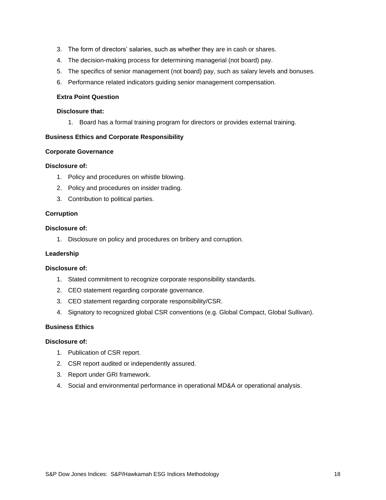- 3. The form of directors' salaries, such as whether they are in cash or shares.
- 4. The decision-making process for determining managerial (not board) pay.
- 5. The specifics of senior management (not board) pay, such as salary levels and bonuses.
- 6. Performance related indicators guiding senior management compensation.

#### **Extra Point Question**

#### **Disclosure that:**

1. Board has a formal training program for directors or provides external training.

#### **Business Ethics and Corporate Responsibility**

#### **Corporate Governance**

#### **Disclosure of:**

- 1. Policy and procedures on whistle blowing.
- 2. Policy and procedures on insider trading.
- 3. Contribution to political parties.

#### **Corruption**

#### **Disclosure of:**

1. Disclosure on policy and procedures on bribery and corruption.

#### **Leadership**

#### **Disclosure of:**

- 1. Stated commitment to recognize corporate responsibility standards.
- 2. CEO statement regarding corporate governance.
- 3. CEO statement regarding corporate responsibility/CSR.
- 4. Signatory to recognized global CSR conventions (e.g. Global Compact, Global Sullivan).

#### **Business Ethics**

- 1. Publication of CSR report.
- 2. CSR report audited or independently assured.
- 3. Report under GRI framework.
- 4. Social and environmental performance in operational MD&A or operational analysis.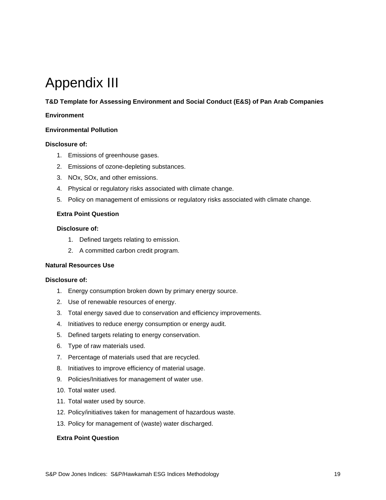### <span id="page-19-0"></span>Appendix III

#### <span id="page-19-1"></span>**T&D Template for Assessing Environment and Social Conduct (E&S) of Pan Arab Companies**

#### **Environment**

#### **Environmental Pollution**

#### **Disclosure of:**

- 1. Emissions of greenhouse gases.
- 2. Emissions of ozone-depleting substances.
- 3. NOx, SOx, and other emissions.
- 4. Physical or regulatory risks associated with climate change.
- 5. Policy on management of emissions or regulatory risks associated with climate change.

#### **Extra Point Question**

#### **Disclosure of:**

- 1. Defined targets relating to emission.
- 2. A committed carbon credit program.

#### **Natural Resources Use**

#### **Disclosure of:**

- 1. Energy consumption broken down by primary energy source.
- 2. Use of renewable resources of energy.
- 3. Total energy saved due to conservation and efficiency improvements.
- 4. Initiatives to reduce energy consumption or energy audit.
- 5. Defined targets relating to energy conservation.
- 6. Type of raw materials used.
- 7. Percentage of materials used that are recycled.
- 8. Initiatives to improve efficiency of material usage.
- 9. Policies/Initiatives for management of water use.
- 10. Total water used.
- 11. Total water used by source.
- 12. Policy/initiatives taken for management of hazardous waste.
- 13. Policy for management of (waste) water discharged.

#### **Extra Point Question**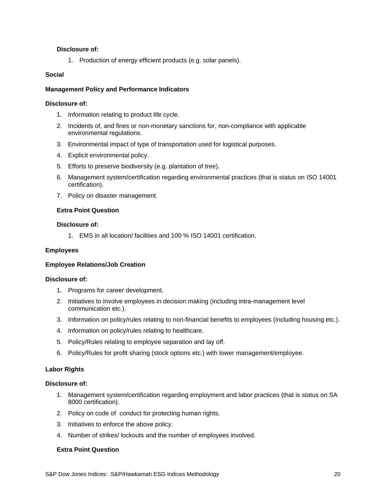#### **Disclosure of:**

1. Production of energy efficient products (e.g. solar panels).

#### **Social**

#### **Management Policy and Performance Indicators**

#### **Disclosure of:**

- 1. Information relating to product life cycle.
- 2. Incidents of, and fines or non-monetary sanctions for, non-compliance with applicable environmental regulations.
- 3. Environmental impact of type of transportation used for logistical purposes.
- 4. Explicit environmental policy.
- 5. Efforts to preserve biodiversity (e.g. plantation of tree).
- 6. Management system/certification regarding environmental practices (that is status on ISO 14001 certification).
- 7. Policy on disaster management.

#### **Extra Point Question**

#### **Disclosure of:**

1. EMS in all location/ facilities and 100 % ISO 14001 certification.

#### **Employees**

#### **Employee Relations/Job Creation**

#### **Disclosure of:**

- 1. Programs for career development.
- 2. Initiatives to involve employees in decision making (including intra-management level communication etc.).
- 3. Information on policy/rules relating to non-financial benefits to employees (including housing etc.).
- 4. Information on policy/rules relating to healthcare.
- 5. Policy/Rules relating to employee separation and lay off.
- 6. Policy/Rules for profit sharing (stock options etc.) with lower management/employee.

#### **Labor Rights**

#### **Disclosure of:**

- 1. Management system/certification regarding employment and labor practices (that is status on SA 8000 certification).
- 2. Policy on code of conduct for protecting human rights.
- 3. Initiatives to enforce the above policy.
- 4. Number of strikes/ lockouts and the number of employees involved.

#### **Extra Point Question**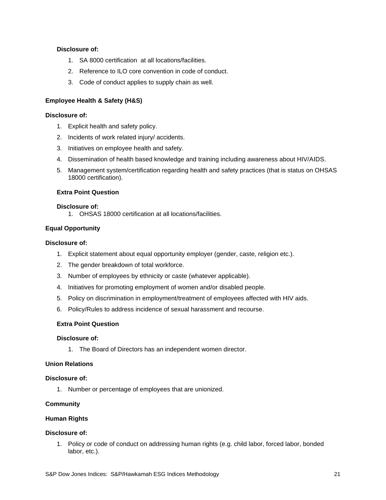#### **Disclosure of:**

- 1. SA 8000 certification at all locations/facilities.
- 2. Reference to ILO core convention in code of conduct.
- 3. Code of conduct applies to supply chain as well.

#### **Employee Health & Safety (H&S)**

#### **Disclosure of:**

- 1. Explicit health and safety policy.
- 2. Incidents of work related injury/ accidents.
- 3. Initiatives on employee health and safety.
- 4. Dissemination of health based knowledge and training including awareness about HIV/AIDS.
- 5. Management system/certification regarding health and safety practices (that is status on OHSAS 18000 certification).

#### **Extra Point Question**

#### **Disclosure of:**

1. OHSAS 18000 certification at all locations/facilities.

#### **Equal Opportunity**

#### **Disclosure of:**

- 1. Explicit statement about equal opportunity employer (gender, caste, religion etc.).
- 2. The gender breakdown of total workforce.
- 3. Number of employees by ethnicity or caste (whatever applicable).
- 4. Initiatives for promoting employment of women and/or disabled people.
- 5. Policy on discrimination in employment/treatment of employees affected with HIV aids.
- 6. Policy/Rules to address incidence of sexual harassment and recourse.

#### **Extra Point Question**

#### **Disclosure of:**

1. The Board of Directors has an independent women director.

#### **Union Relations**

#### **Disclosure of:**

1. Number or percentage of employees that are unionized.

#### **Community**

#### **Human Rights**

#### **Disclosure of:**

1. Policy or code of conduct on addressing human rights (e.g. child labor, forced labor, bonded labor, etc.).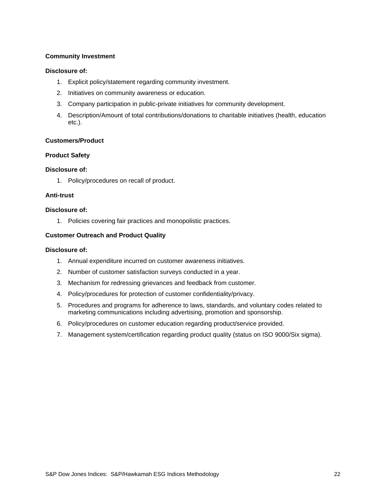#### **Community Investment**

#### **Disclosure of:**

- 1. Explicit policy/statement regarding community investment.
- 2. Initiatives on community awareness or education.
- 3. Company participation in public-private initiatives for community development.
- 4. Description/Amount of total contributions/donations to charitable initiatives (health, education etc.).

#### **Customers/Product**

#### **Product Safety**

#### **Disclosure of:**

1. Policy/procedures on recall of product.

#### **Anti-trust**

#### **Disclosure of:**

1. Policies covering fair practices and monopolistic practices.

#### **Customer Outreach and Product Quality**

- 1. Annual expenditure incurred on customer awareness initiatives.
- 2. Number of customer satisfaction surveys conducted in a year.
- 3. Mechanism for redressing grievances and feedback from customer.
- 4. Policy/procedures for protection of customer confidentiality/privacy.
- 5. Procedures and programs for adherence to laws, standards, and voluntary codes related to marketing communications including advertising, promotion and sponsorship.
- 6. Policy/procedures on customer education regarding product/service provided.
- 7. Management system/certification regarding product quality (status on ISO 9000/Six sigma).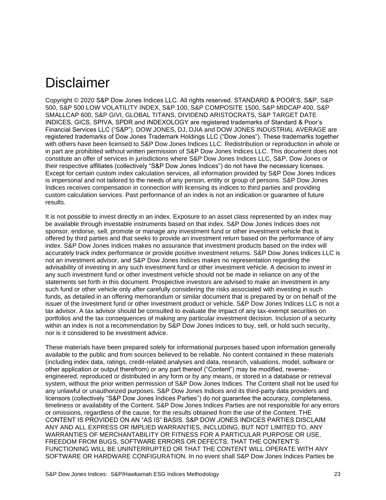### <span id="page-23-0"></span>Disclaimer

Copyright © 2020 S&P Dow Jones Indices LLC. All rights reserved. STANDARD & POOR'S, S&P, S&P 500, S&P 500 LOW VOLATILITY INDEX, S&P 100, S&P COMPOSITE 1500, S&P MIDCAP 400, S&P SMALLCAP 600, S&P GIVI, GLOBAL TITANS, DIVIDEND ARISTOCRATS, S&P TARGET DATE INDICES, GICS, SPIVA, SPDR and INDEXOLOGY are registered trademarks of Standard & Poor's Financial Services LLC ("S&P"). DOW JONES, DJ, DJIA and DOW JONES INDUSTRIAL AVERAGE are registered trademarks of Dow Jones Trademark Holdings LLC ("Dow Jones"). These trademarks together with others have been licensed to S&P Dow Jones Indices LLC. Redistribution or reproduction in whole or in part are prohibited without written permission of S&P Dow Jones Indices LLC. This document does not constitute an offer of services in jurisdictions where S&P Dow Jones Indices LLC, S&P, Dow Jones or their respective affiliates (collectively "S&P Dow Jones Indices") do not have the necessary licenses. Except for certain custom index calculation services, all information provided by S&P Dow Jones Indices is impersonal and not tailored to the needs of any person, entity or group of persons. S&P Dow Jones Indices receives compensation in connection with licensing its indices to third parties and providing custom calculation services. Past performance of an index is not an indication or guarantee of future results.

It is not possible to invest directly in an index. Exposure to an asset class represented by an index may be available through investable instruments based on that index. S&P Dow Jones Indices does not sponsor, endorse, sell, promote or manage any investment fund or other investment vehicle that is offered by third parties and that seeks to provide an investment return based on the performance of any index. S&P Dow Jones Indices makes no assurance that investment products based on the index will accurately track index performance or provide positive investment returns. S&P Dow Jones Indices LLC is not an investment advisor, and S&P Dow Jones Indices makes no representation regarding the advisability of investing in any such investment fund or other investment vehicle. A decision to invest in any such investment fund or other investment vehicle should not be made in reliance on any of the statements set forth in this document. Prospective investors are advised to make an investment in any such fund or other vehicle only after carefully considering the risks associated with investing in such funds, as detailed in an offering memorandum or similar document that is prepared by or on behalf of the issuer of the investment fund or other investment product or vehicle. S&P Dow Jones Indices LLC is not a tax advisor. A tax advisor should be consulted to evaluate the impact of any tax-exempt securities on portfolios and the tax consequences of making any particular investment decision. Inclusion of a security within an index is not a recommendation by S&P Dow Jones Indices to buy, sell, or hold such security, nor is it considered to be investment advice.

These materials have been prepared solely for informational purposes based upon information generally available to the public and from sources believed to be reliable. No content contained in these materials (including index data, ratings, credit-related analyses and data, research, valuations, model, software or other application or output therefrom) or any part thereof ("Content") may be modified, reverseengineered, reproduced or distributed in any form or by any means, or stored in a database or retrieval system, without the prior written permission of S&P Dow Jones Indices. The Content shall not be used for any unlawful or unauthorized purposes. S&P Dow Jones Indices and its third-party data providers and licensors (collectively "S&P Dow Jones Indices Parties") do not guarantee the accuracy, completeness, timeliness or availability of the Content. S&P Dow Jones Indices Parties are not responsible for any errors or omissions, regardless of the cause, for the results obtained from the use of the Content. THE CONTENT IS PROVIDED ON AN "AS IS" BASIS. S&P DOW JONES INDICES PARTIES DISCLAIM ANY AND ALL EXPRESS OR IMPLIED WARRANTIES, INCLUDING, BUT NOT LIMITED TO, ANY WARRANTIES OF MERCHANTABILITY OR FITNESS FOR A PARTICULAR PURPOSE OR USE, FREEDOM FROM BUGS, SOFTWARE ERRORS OR DEFECTS, THAT THE CONTENT'S FUNCTIONING WILL BE UNINTERRUPTED OR THAT THE CONTENT WILL OPERATE WITH ANY SOFTWARE OR HARDWARE CONFIGURATION. In no event shall S&P Dow Jones Indices Parties be